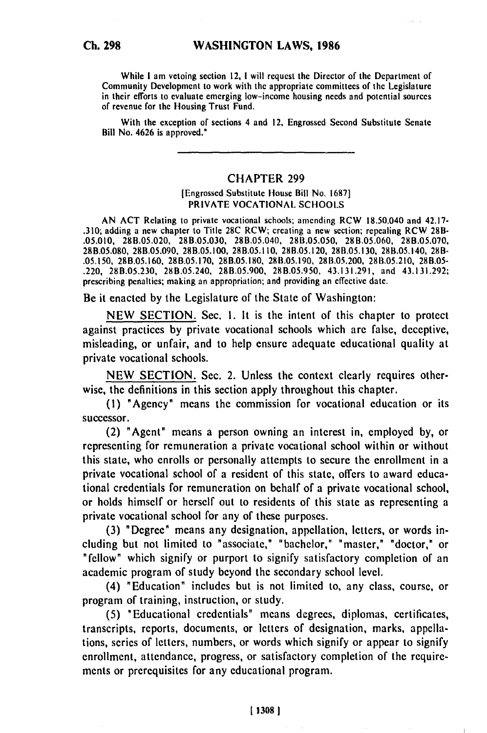While **I** am vetoing section 12, **I** will request the Director of the Department of Community Development **to** work with the appropriate committees of the Legislature in their efforts to evaluate emerging low-income housing needs and potential sources of revenue for the Housing Trust Fund.

With the exception of sections 4 and 12, Engrossed Second Substitute Senate Bill No. 4626 is approved."

## CHAPTER **299**

## [Engrossed Substitute House Bill **No. 1687]** PRIVATE **VOCATIONAL SCHOOLS**

**AN ACT** Relating to private vocational schools; amending RCW 18.50,040 and 42.17- **.310;** adding a new chapter to Title **28C** RCW; creating a new section; repealing RCW **28B- .05.010, 28B.05.020, 28B.05.030,** 28B.05.040, **28B.05.050, 28B.05.060, 28B.05.070, 28B.05.080, 28B.05.090, 28B.05.100, 28B.05.110, 28B.05.120, 28B.05.130,** 28B.05.140, 281- **.05.150, 28B.05.160, 28B.05.170, 28B.05.180, 28B.05.190, 2811.05.200, 28B.05.210,** 28B.05- .220, **28B.05.230,** 28B.05.240, **28B.05.900, 28B.05.950,** 43.131.291, and 43.131.292; prescribing penalties; making an appropriation; and providing an effective date,

Be it enacted **by** the Legislature of the State of Washington:

**NEW SECTION.** Sec. **1.** It is the intent of this chapter to protect against practices **by** private vocational schools which are false, deceptive, misleading, or unfair, and to help ensure adequate educational quality at private vocational schools.

**NEW SECTION.** Sec. 2. Unless the context clearly requires otherwise, the definitions in this section apply throughout this chapter.

**(1)** "Agency" means the commission for vocational education or its successor.

(2) "Agent" means a person owning an interest in, employed **by,** or representing for remuneration a private vocational school within or without this state, who enrolls or personally attempts to secure the enrollment in a private vocational school of a resident of this state, offers to award educational credentials for remuneration on behalf of a private vocational school, or holds himself or herself out to residents of this state as representing a private vocational school for any of these purposes.

**(3)** "Degree" means any designation, appellation, letters, or words including but not limited to "associate," "bachelor," "master," "doctor," or "fellow" which signify or purport to signify satisfactory completion of an academic program of study beyond the secondary school level.

(4) "Education" includes but is not limited to, any class, course, or program of training, instruction, or study.

**(5)** "Educational credentials" means degrees, diplomas, certificates, transcripts, reports, documents, or letters of designation, marks, appellations, series of letters, numbers, or words which signify or appear to signify enrollment, attendance, progress, or satisfactory completion of the require**mcnts** or prerequisites for any educational program.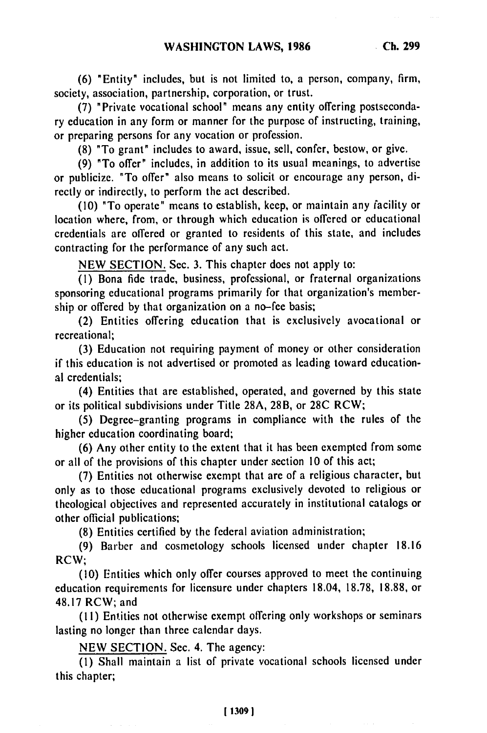**(6)** "Entity" includes, but is not limited to, a person, company, firm, society, association, partnership, corporation, or trust.

(7) "Private vocational school" means any entity offering postsecondary education in any form or manner for the purpose of instructing, training, or preparing persons for any vocation or profession.

(8) "To grant" includes to award, issue, sell, confer, bestow, or give.

(9) "To offer" includes, in addition to its usual meanings, to advertise or publicize. "To offer" also means to solicit or encourage any person, directly or indirectly, to perform the act described.

(10) "To operate" means to establish, keep, or maintain any facility or location where, from, or through which education is offered or educational credentials are offered or granted to residents of this state, and includes contracting for the performance of any such act.

NEW SECTION. Sec. 3. This chapter does not apply to:

(I) Bona fide trade, business, professional, or fraternal organizations sponsoring educational programs primarily for that organization's membership or offered by that organization on a no-fee basis;

(2) Entities offering education that is exclusively avocational or recreational;

(3) Education not requiring payment of money or other consideration if this education is not advertised or promoted as leading toward educational credentials;

(4) Entities that are established, operated, and governed by this state or its political subdivisions under Title 28A, 28B, or 28C RCW;

(5) Degree-granting programs in compliance with the rules of the higher education coordinating board;

(6) Any other entity to the extent that it has been exempted from some or all of the provisions of this chapter under section 10 of this act;

(7) Entities not otherwise exempt that are of a religious character, but only as to those educational programs exclusively devoted to religious or theological objectives and represented accurately in institutional catalogs or other official publications;

(8) Entities certified by the federal aviation administration;

(9) Barber and cosmetology schools licensed under chapter 18.16 RCW;

(10) Entities which only offer courses approved to meet the continuing education requirements for licensure under chapters 18.04, 18.78, 18.88, or 48.17 RCW; and

**(11)** Entities not otherwise exempt offering only workshops or seminars lasting no longer than three calendar days.

NEW SECTION. Sec. 4. The agency:

(1) Shall maintain a list of private vocational schools licensed under this chapter;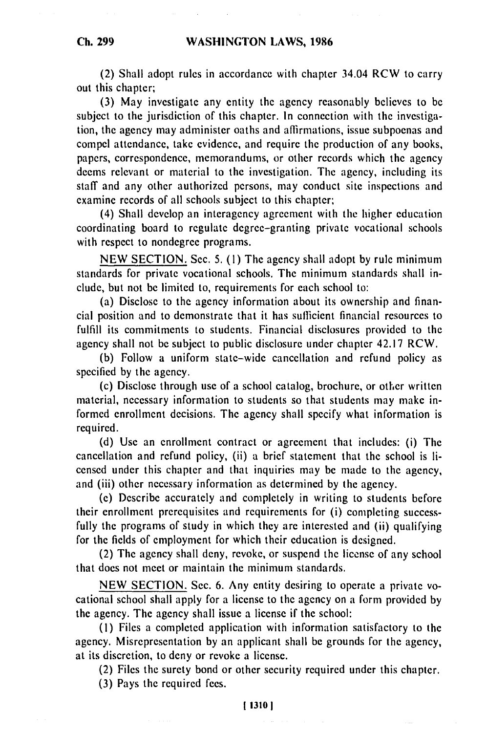# **WASHINGTON LAWS, 1986**

(2) Shall adopt rules in accordance with chapter 34.04 RCW to carry out this chapter;

(3) May investigate any entity the agency reasonably believes to be subject to the jurisdiction of this chapter. In connection with the investigation, the agency may administer oaths and affirmations, issue subpoenas and compel attendance, take evidence, and require the production of any books, papers, correspondence, memorandums, or other records which the agency deems relevant or material to the investigation. The agency, including its staff and any other authorized persons, may conduct site inspections and examine records of all schools subject to this chapter;

(4) Shall develop an interagency agreement with the higher education coordinating board to regulate degree-granting private vocational schools with respect to nondegree programs.

NEW SECTION. Sec. 5. **(1)** The agency shall adopt by rule minimum standards for private vocational schools. The minimum standards shall include, but not be limited to, requirements for each school to:

(a) Disclose to the agency information about its ownership and financial position and to demonstrate that it has sufficient financial resources to fulfill its commitments to students. Financial disclosures provided to the agency shall not be subject to public disclosure under chapter 42.17 RCW.

(b) Follow a uniform state-wide cancellation and refund policy as specified by the agency.

(c) Disclose through use of a school catalog, brochure, or other written material, necessary information to students so that students may make informed enrollment decisions. The agency shall specify what information is required.

(d) Use an enrollment contract or agreement that includes: (i) The cancellation and refund policy, (ii) a brief statement that the school is licensed under this chapter and that inquiries may be made to the agency, and (iii) other necessary information as determined by the agency.

(e) Describe accurately and completely in writing to students before their enrollment prerequisites and requirements for (i) completing successfully the programs of study in which they are interested and (ii) qualifying for the fields of employment for which their education is designed.

(2) The agency shall deny, revoke, or suspend the license of any school that does not meet or maintain the minimum standards.

NEW SECTION. Sec. 6. Any entity desiring to operate a private vocational school shall apply for a license to the agency on a form provided by the agency. The agency shall issue a license if the school:

(I) Files a completed application with information satisfactory to the agency. Misrepresentation by an applicant shall be grounds for the agency, at its discretion, to deny or revoke a license.

(2) Files the surety bond or other security required under this chapter.

(3) Pays the required fees.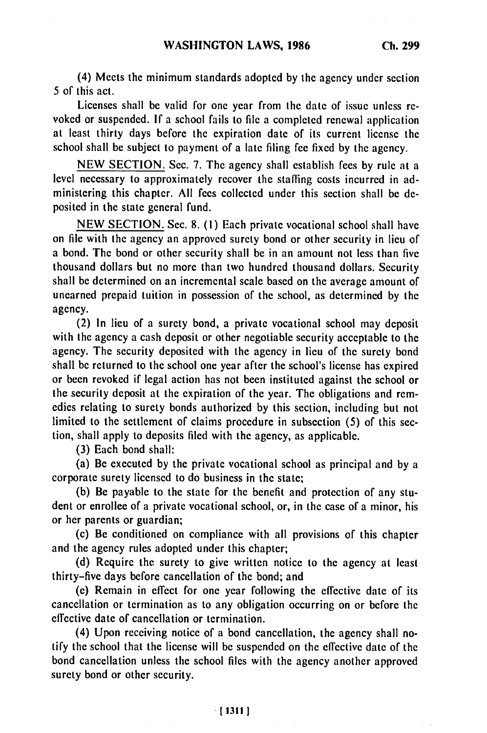(4) Meets the minimum standards adopted by the agency under section 5 of this act.

Licenses shall be valid for one year from the date of issue unless revoked or suspended. If a school fails to file a completed renewal application at least thirty days before the expiration date of its current license the school shall be subject to payment of a late filing fee fixed by the agency.

NEW SECTION. Sec. 7. The agency shall establish fees by rule at a level necessary to approximately recover the staffing costs incurred in administering this chapter. All fees collected under this section shall be deposited in the state general fund.

NEW SECTION. Sec. 8. **(1)** Each private vocational school shall have on file with the agency an approved surety bond or other security in lieu of a bond. The bond or other security shall be in an amount not less than five thousand dollars but no more than two hundred thousand dollars. Security shall be determined on an incremental scale based on the average amount of unearned prepaid tuition in possession of the school, as determined by the agency.

(2) In lieu of a surety bond, a private vocational school may deposit with the agency a cash deposit or other negotiable security acceptable to the agency. The security deposited with the agency in lieu of the surety bond shall be returned to the school one year after the school's license has expired or been revoked if legal action has not been instituted against the school or the security deposit at the expiration of the year. The obligations and remedies relating to surety bonds authorized by this section, including but not limited to the settlement of claims procedure in subsection (5) of this section, shall apply to deposits filed with the agency, as applicable.

(3) Each bond shall:

(a) Be executed by the private vocational school as principal and by a corporate surety licensed to do business in the state;

(b) Be payable to the state for the benefit and protection of any student or enrollee of a private vocational school, or, in the case of a minor, his or her parents or guardian;

(c) Be conditioned on compliance with all provisions of this chapter and the agency rules adopted under this chapter;

(d) Require the surety to give written notice to the agency at least thirty-five days before cancellation of the bond; and

(e) Remain in effect for one year following the effective date of its cancellation or termination as to any obligation occurring on or before the effective date of cancellation or termination.

(4) Upon receiving notice of a bond cancellation, the agency shall notify the school that the license will be suspended on the effective date of the bond cancellation unless the school files with the agency another approved surety bond or other security.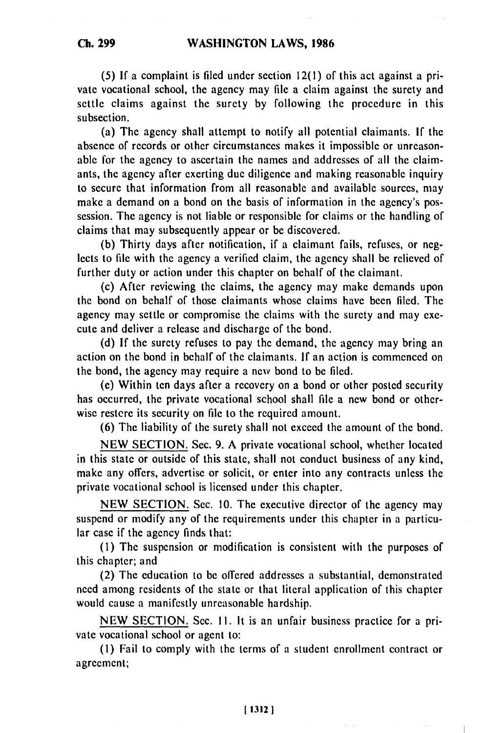**Ch. 299**

**(5) If** a complaint is filed under section 12(1) of this act against a private vocational school, the agency may file a claim against the surety and settle claims against the surety by following the procedure in this subsection.

(a) The agency shall attempt to notify all potential claimants. If the absence of records or other circumstances makes it impossible or unreasonable for the agency to ascertain the names and addresses of all the claimants, the agency after exerting due diligence and making reasonable inquiry to secure that information from all reasonable and available sources, may make a demand on a bond on the basis of information in the agency's possession. The agency is not liable or responsible for claims or the handling of claims that may subsequently appear or be discovered.

(b) Thirty days after notification, if a claimant fails, refuses, or neglects to file with the agency a verified claim, the agency shall be relieved of further duty or action under this chapter on behalf of the claimant.

(c) After reviewing the claims, the agency may make demands upon the bond on behalf of those claimants whose claims have been filed. The agency may settle or compromise the claims with the surety and may execute and deliver a release and discharge of the bond.

(d) If the surety refuses to pay the demand, the agency may bring an action on the bond in behalf of the claimants. If an action is commenced on the bond, the agency may require a new bond to be filed.

(e) Within ten days after a recovery on a bond or other posted security has occurred, the private vocational school shall file a new bond or otherwise restere its security on file to the required amount.

(6) The liability of the surety shall not exceed the amount of the bond.

NEW SECTION. Sec. 9. A private vocational school, whether located in this state or outside of this state, shall not conduct business of any kind, make any offers, advertise or solicit, or enter into any contracts unless the private vocational school is licensed under this chapter.

NEW SECTION. Sec. 10. The executive director of the agency may suspend or modify any of the requirements under this chapter in a particular case if the agency finds that:

**(1)** The suspension or modification is consistent with the purposes of this chapter; and

(2) The education to be offered addresses a substantial, demonstrated need among residents of the state or that literal application of this chapter would cause a manifestly unreasonable hardship.

NEW SECTION. Sec. **11.** It is an unfair business practice for a private vocational school or agent to:

(I) Fail to comply with the terms of a student enrollment contract or agreement;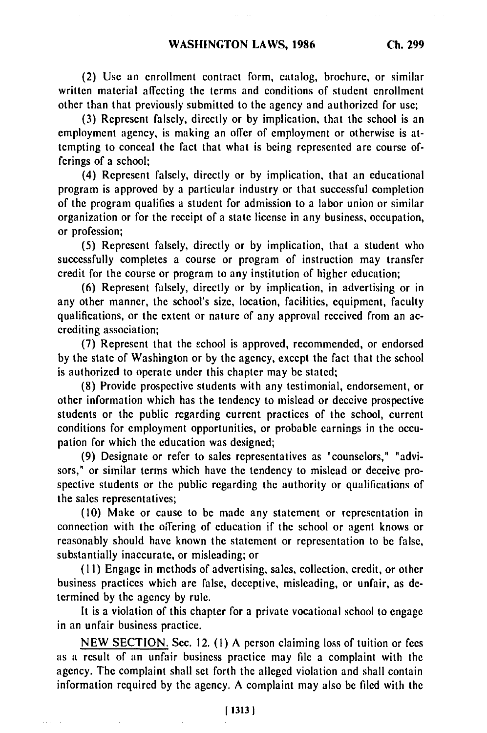(2) Use an enrollment contract form, catalog, brochure, or similar written material affecting the terms and conditions of student enrollment other than that previously submitted to the agency and authorized for use;

(3) Represent falsely, directly or by implication, that the school is an employment agency, is making an offer of employment or otherwise is attempting to conceal the fact that what is being represented are course offerings of a school;

(4) Represent falsely, directly or by implication, that an educational program is approved by a particular industry or that successful completion of the program qualifies a student for admission to a labor union or similar organization or for the receipt of a state license in any business, occupation, or profession;

(5) Represent falsely, directly or by implication, that a student who successfully completes a course or program of instruction may transfer credit for the course or program to any institution of higher education;

(6) Represent falsely, directly or by implication, in advertising or in any other manner, the school's size, location, facilities, equipment, faculty qualifications, or the extent or nature of any approval received from an accrediting association;

(7) Represent that the school is approved, recommended, or endorsed by the state of Washington or by the agency, except the fact that the school is authorized to operate under this chapter may be stated;

(8) Provide prospective students with any testimonial, endorsement, or other information which has the tendency to mislead or deceive prospective students or the public regarding current practices of the school, current conditions for employment opportunities, or probable earnings in the occupation for which the education was designed;

(9) Designate or refer to sales representatives as "counselors," "advisors," or similar terms which have the tendency to mislead or deceive prospective students or the public regarding the authority or qualifications of the sales representatives;

(10) Make or cause to be made any statement or representation in connection with the offering of education if the school or agent knows or reasonably should have known the statement or representation to be false, substantially inaccurate, or misleading; or

(11) Engage in methods of advertising, sales, collection, credit, or other business practices which are false, deceptive, misleading, or unfair, as determined by the agency by rule.

It is a violation of this chapter for a private vocational school to engage in an unfair business practice.

NEW SECTION. Sec. 12. **(1)** A person claiming loss of tuition or fees as a result of an unfair business practice may file a complaint with the agency. The complaint shall set forth the alleged violation and shall contain information required by the agency. A complaint may also be filed with the

**I 1313 1**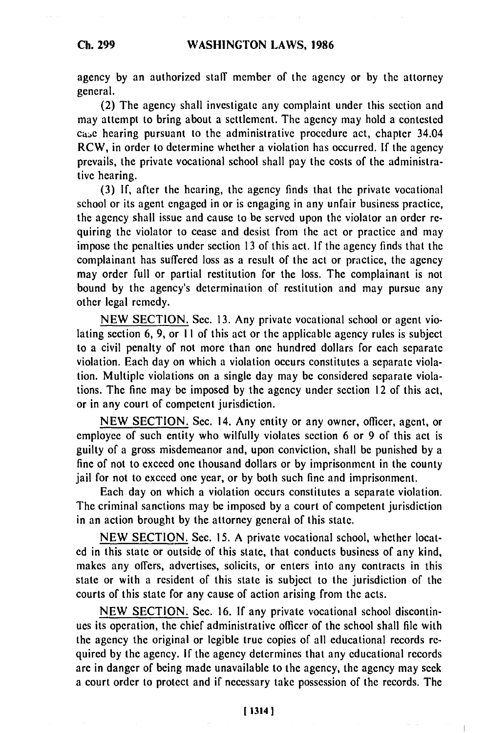## **WASHINGTON LAWS, 1986**

agency by an authorized staff member of the agency or by the attorney general.

(2) The agency shall investigate any complaint under this section and may attempt to bring about a settlement. The agency may hold a contested case hearing pursuant to the administrative procedure act, chapter 34.04 RCW, in order to determine whether a violation has occurred. If the agency prevails, the private vocational school shall pay the costs of the administrative hearing.

(3) If, after the hearing, the agency finds that the private vocational school or its agent engaged in or is engaging in any unfair business practice, the agency shall issue and cause to be served upon the violator an order requiring the violator to cease and desist from the act or practice and may impose the penalties under section 13 of this act. If the agency finds that the complainant has suffered loss as a result of the act or practice, the agency may order full or partial restitution for the loss. The complainant is not bound by the agency's determination of restitution and may pursue any other legal remedy.

NEW SECTION. Sec. 13. Any private vocational school or agent violating section 6, 9, or **I** I of this act or the applicable agency rules is subject to a civil penalty of not more than one hundred dollars for each separate violation. Each day on which a violation occurs constitutes a separate violation. Multiple violations on a single day may be considered separate violations. The fine may be imposed by the agency under section 12 of this act, or in any court of competent jurisdiction.

NEW SECTION. Sec. 14. Any entity or any owner, officer, agent, or employee of such entity who wilfully violates section 6 or 9 of this act is guilty of a gross misdemeanor and, upon conviction, shall be punished by a fine of not to exceed one thousand dollars or by imprisonment in the county jail for not to exceed one year, or by both such fine and imprisonment.

Each day on which a violation occurs constitutes a separate violation. The criminal sanctions may be imposed by a court of competent jurisdiction in an action brought by the attorney general of this state.

NEW SECTION. Sec. 15. A private vocational school, whether located in this state or outside of this state, that conducts business of any kind, makes any offers, advertises, solicits, or enters into any contracts in this state or with a resident of this state is subject to the jurisdiction of the courts of this state for any cause of action arising from the acts.

NEW SECTION. Sec. 16. If any private vocational school discontinues its operation, the chief administrative officer of the school shall file with the agency the original or legible true copies of all educational records required by the agency. If the agency determines that any educational records are in danger of being made unavailable to the agency, the agency may seek a court order to protect and if necessary take possession of the records. The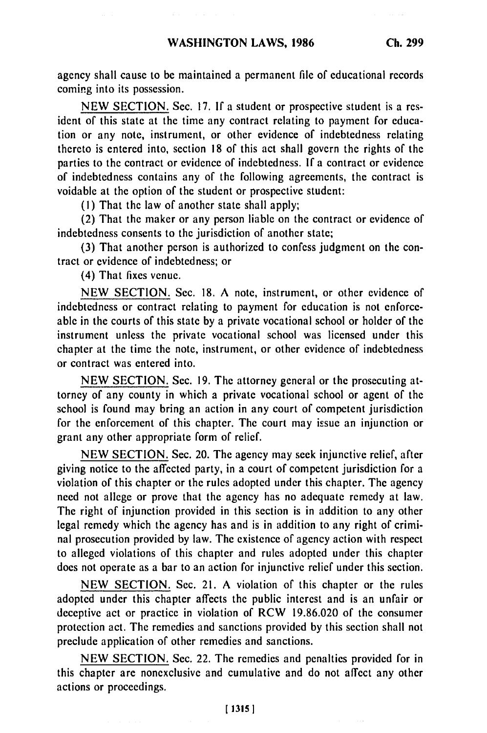agency shall cause to be maintained a permanent file of educational records coming into its possession.

NEW SECTION. Sec. 17. If a student or prospective student is a resident of this state at the time any contract relating to payment for education or any note, instrument, or other evidence of indebtedness relating thereto is entered into, section 18 of this act shall govern the rights of the parties to the contract or evidence of indebtedness. **If** a contract or evidence of indebtedness contains any of the following agreements, the contract is voidable at the option of the student or prospective student:

(I) That the law of another state shall apply;

(2) That the maker or any person liable on the contract or evidence of indebtedness consents to the jurisdiction of another state;

(3) That another person is authorized to confess judgment on the contract or evidence of indebtedness; or

(4) That fixes venue.

NEW SECTION. Sec. 18. A note, instrument, or other evidence of indebtedness or contract relating to payment for education is not enforceable in the courts of this state by a private vocational school or holder of the instrument unless the private vocational school was licensed under this chapter at the time the note, instrument, or other evidence of indebtedness or contract was entered into.

NEW SECTION. Sec. 19. The attorney general or the prosecuting attorney of any county in which a private vocational school or agent of the school is found may bring an action in any court of competent jurisdiction for the enforcement of this chapter. The court may issue an injunction or grant any other appropriate form of relief.

NEW SECTION. Sec. 20. The agency may seek injunctive relief, after giving notice to the affected party, in a court of competent jurisdiction for a violation of this chapter or the rules adopted under this chapter. The agency need not allege or prove that the agency has no adequate remedy at law. The right of injunction provided in this section is in addition to any other legal remedy which the agency has and is in addition to any right of criminal prosecution provided by law. The existence of agency action with respect to alleged violations of this chapter and rules adopted under this chapter does not operate as a bar to an action for injunctive relief under this section.

NEW SECTION. Sec. 21. A violation of this chapter or the rules adopted under this chapter affects the public interest and is an unfair or deceptive act or practice in violation of RCW 19.86.020 of the consumer protection act. The remedies and sanctions provided by this section shall not preclude application of other remedies and sanctions.

NEW SECTION. Sec. 22. The remedies and penalties provided for in this chapter are nonexclusive and cumulative and do not affect any other actions or proceedings.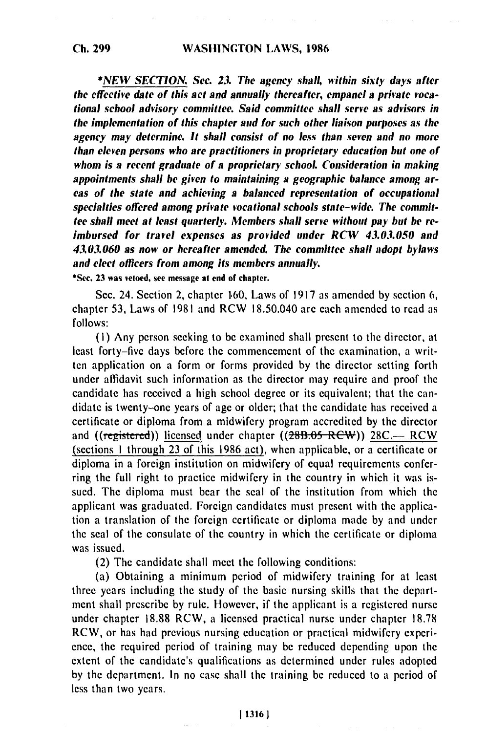*\*NEW SECTION. Sec. 23. The agency shall, within sixty days after the effective date of this act and annually thereafter, empanel a private vocational school advisory committee. Said committee shall serve as advisors in the implementation of this chapter and for such other liaison purposes as the agency may determine. It shall consist of no less than seven and no more than eleven persons who are practitioners in proprietary education hut one of whom is a recent graduate of a proprietary school. Consideration in making appointments shall be given to maintaining a geographic balance among areas of the state and achieving a balanced representation of occupational specialties offered among private vocational schools state-wide. The committee shall meet at least quarterly. Members shall serve without pay but be reimbursed for travel expenses as provided under RCW 43.0.3.050 and 43.03.060 as now or hereafter amended. The committee shall adopt bylaws and elect officers from among its members annually.*

**\*Sec. 23 was vetoed, see message at end of chapter.**

Sec. 24. Section 2, chapter **1,60,** Laws of 1917 as amended by section **6,** chapter 53, Laws of 1981 and RCW 18.50.040 are each amended to read as follows:

(i) Any person seeking to be examined shall present to the director, at least forty-five days before the commencement of the examination, a written application on a form or forms provided by the director setting forth under affidavit such information as the director may require and proof the candidate has received a high school degree or its equivalent; that the candidate is twenty-one years of age or older; that the candidate has received a certificate or diploma from a midwifery program accredited by the director and ((registered)) licensed under chapter ((28B.05 RCW)) 28C.-- RCW (sections 1 through 23 of this 1986 act), when applicable, or a certificate or diploma in a foreign institution on midwifery of equal requirements conferring the full right to practice midwifery in the country in which it was issued. The diploma must bear the seal of the institution from which the applicant was graduated. Foreign candidates must present with the application a translation of the foreign certificate or diploma made by and under the seal of the consulate of the country in which the certificate or diploma was issued.

(2) The candidate shall meet the following conditions:

(a) Obtaining a minimum period of midwifery training for at least three years including the study of the basic nursing skills that the department shall prescribe by rule. However, if the applicant is a registered nurse under chapter 18.88 RCW, a licensed practical nurse under chapter 18.78 RCW, or has had previous nursing education or practical midwifery experience, the required period of training may be reduced depending upon the extent of the candidate's qualifications as determined under rules adopted by the department. In no case shall the training be reduced to a period of less than two years.

#### **113161**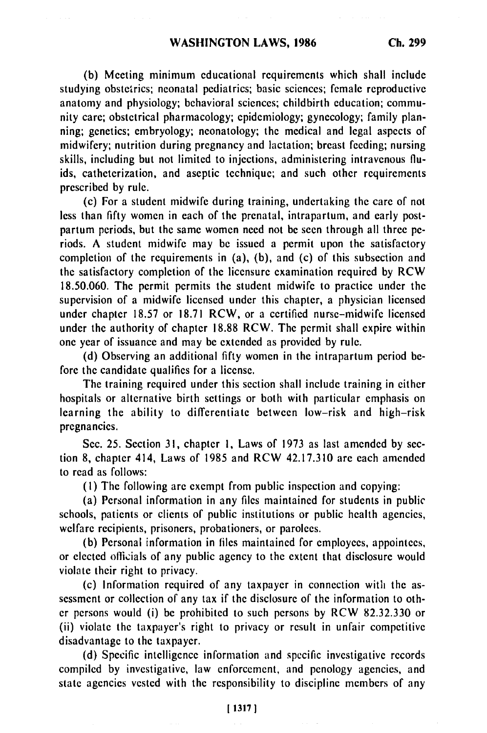**(b)** Meeting minimum educational requirements which shall include studying obstetrics; neonatal pediatrics; basic sciences; female reproductive anatomy and physiology; behavioral sciences; childbirth education; community care; obstetrical pharmacology; epidemiology; gynecology; family planning; genetics; embryology; neonatology; the medical and legal aspects of midwifery; nutrition during pregnancy and lactation; breast feeding; nursing skills, including but not limited to injections, administering intravenous fluids, catheterization, and aseptic technique; and such other requirements prescribed by rule.

(c) For a student midwife during training, undertaking the care of not less than fifty women in each of the prenatal, intrapartum, and early postpartum periods, but the same women need not be seen through all three periods. A student midwife may be issued a permit upon the satisfactory completion of the requirements in (a), (b), and (c) of this subsection and the satisfactory completion of the licensure examination required by RCW 18.50.060. The permit permits the student midwife to practice under the supervision of a midwife licensed under this chapter, a physician licensed under chapter 18.57 or 18.71 RCW, or a certified nurse-midwife licensed under the authority of chapter 18.88 RCW. The permit shall expire within one year of issuance and may be extended as provided by rule.

(d) Observing an additional fifty women in the intrapartum period before the candidate qualifies for a license.

The training required under this section shall include training in either hospitals or alternative birth settings or both with particular emphasis on learning the ability to differentiate between low-risk and high-risk pregnancies.

Sec. 25. Section 31, chapter **1,** Laws of 1973 as last amended by section 8, chapter 414, Laws of 1985 and RCW 42.17.310 are each amended to read as follows:

(I) The following are exempt from public inspection and copying:

(a) Personal information in any files maintained for students in public schools, patients or clients of public institutions or public health agencies, welfare recipients, prisoners, probationers, or parolees.

(b) Personal information in files maintained for employees, appointees, or elected officials of any public agency to the extent that disclosure would violate their right to privacy.

(c) Information required of any taxpayer in connection with the assessment or collection of any tax if the disclosure of the information to other persons would (i) be prohibited to such persons by RCW 82.32.330 or (ii) violate the taxpayer's right to privacy or result in unfair competitive disadvantage to the taxpayer.

(d) Specific intelligence information and specific investigative records compiled by investigative, law enforcement, and penology agencies, and state agencies vested with the responsibility to discipline members of any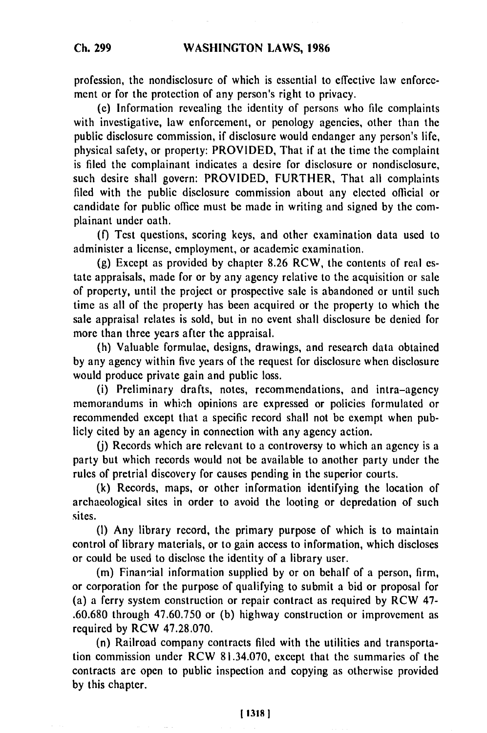profession, the nondisclosure of which is essential to effective law enforcement or for the protection of any person's right to privacy.

(e) Information revealing the identity of persons who file complaints with investigative, law enforcement, or penology agencies, other than the public disclosure commission, if disclosure would endanger any person's life, physical safety, or property: PROVIDED, That if at the time the complaint is filed the complainant indicates a desire for disclosure or nondisclosure, such desire shall govern: PROVIDED, FURTHER, That all complaints filed with the public disclosure commission about any elected official or candidate for public office must be made in writing and signed by the complainant under oath.

(f) Test questions, scoring keys, and other examination data used to administer a license, employment, or academic examination.

(g) Except as provided by chapter 8.26 RCW, the contents of real estate appraisals, made for or by any agency relative to the acquisition or sale of property, until the project or prospective sale is abandoned or until such time as all of the property has been acquired or the property to which the sale appraisal relates is sold, but in no event shall disclosure be denied for more than three years after the appraisal.

(h) Valuable formulae, designs, drawings, and research data obtained by any agency within five years of the request for disclosure when disclosure would produce private gain and public loss.

(i) Preliminary drafts, notes, recommendations, and intra-agency memorandums in which opinions are expressed or policies formulated or recommended except that a specific record shall not be exempt when publicly cited by an agency in connection with any agency action.

(j) Records which are relevant to a controversy to which an agency is a party but which records would not be available to another party under the rules of pretrial discovery for causes pending in the superior courts.

(k) Records, maps, or other information identifying the location of archaeological sites in order to avoid the looting or depredation of such sites.

(I) Any library record, the primary purpose of which is to maintain control of library materials, or to gain access to information, which discloses or could be used to disclose the identity of a library user.

(m) Financial information supplied by or on behalf of a person, firm, or corporation for the purpose of qualifying to submit a bid or proposal for (a) a ferry system construction or repair contract as required by RCW 47- .60.680 through 47.60.750 or (b) highway construction or improvement as required by RCW 47.28.070.

(n) Railroad company contracts filed with the utilities and transportation commission under RCW 81.34.070, except that the summaries of the contracts are open to public inspection and copying as otherwise provided by this chapter.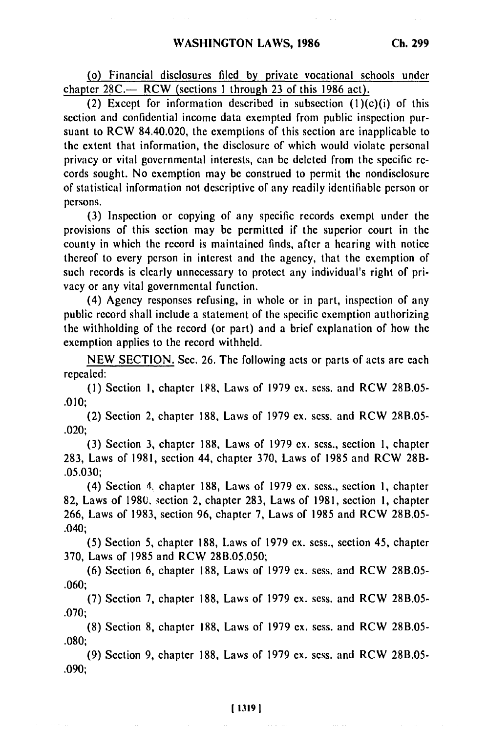(o) Financial disclosures filed **by** private vocational schools under chapter **28C.-** RCW (sections **I** through **23** of this **1986** act).

(2) Except for information described in subsection  $(1)(c)(i)$  of this section and confidential income data exempted from public inspection pursuant to RCW 84.40.020, the exemptions of this section are inapplicable to the extent that information, the disclosure of which would violate personal privacy or vital governmental interests, can **be** deleted from the specific records sought. No exemption may be construed to permit the nondisclosure of statistical information not descriptive of any readily identifiable person or persons.

**(3)** Inspection or copying of any specific records exempt under the provisions of this section may **be** permitted if the superior court in the county in which the record is maintained finds, after a hearing with notice thereof to every person in interest and the agency, that the exemption of such records is clearly unnecessary to protect any individual's right of privacy or any vital governmental function.

(4) Agency responses refusing, in whole or in part, inspection of any public record shall include a statement of the specific exemption authorizing the withholding of the record (or part) and a brief explanation of how the exemption applies to the record withheld.

**NEW SECTION.** Sec. **26.** The following acts or parts of acts are each repealed:

**(1)** Section **I,** chapter **188,** Laws of **1979 ex.** sess. and RCW **28B.05- .010;**

(2) Section 2, chapter **188,** Laws of **1979 ex.** sess. and RCW **2813.05-** .020;

**(3)** Section **3,** chapter 188, Laws of **1979 ex.** sess., section **1,** chapter 283, Laws of 1981, section 44, chapter **370,** Laws of 1985 and RCW 28B- **.05.030;**

(4) Section 4. chapter **188,** Laws of **1979 ex.** sess., section **1,** chapter **82,** Laws of **1980.** iection 2, chapter **283,** Laws of **1981,** section **1,** chapter **266,** Laws of **1983,** section **96,** chapter **7,** Laws of **1985** and RCW **28B.05-** .040;

**(5)** Section 5, chapter **188,** Laws of **1979 ex.** sess., section 45, chapter **370,** Laws of **1985** and RCW **28B.05.050;**

**(6)** Section **6,** chapter **188,** Laws of **1979 ex.** sess. and RCW **2813.05- .060;**

**(7)** Section **7,** chapter **188,** Laws of **1979** ex. sess. and RCW 28B.05- **.070;**

**(8)** Section 8, chapter 188, Laws of **1979** ex. sess. and RCW 28B.05- .080;

(9) Section 9, chapter 188, Laws of 1979 ex. sess. and RCW 28B.05- .090;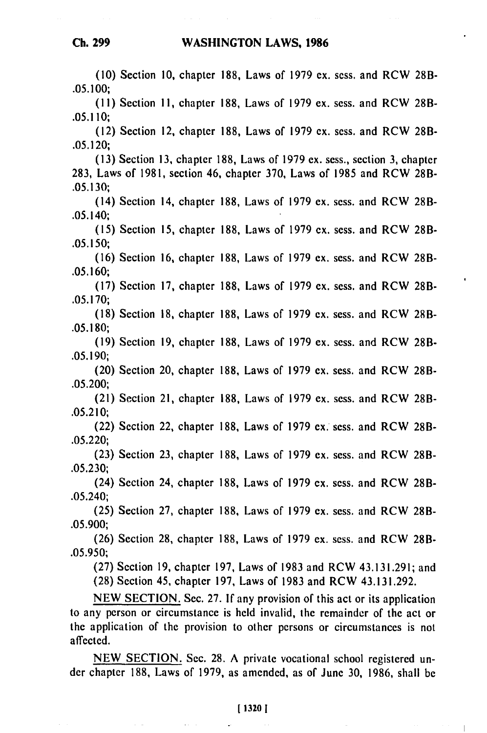## **WASHINGTON** LAWS, **1986**

**(10)** Section **10,** chapter 188, Laws of 1979 ex. sess. and RCW 28B-**.05. 100; (11)** Section **11,** chapter 188, Laws of 1979 ex. sess. and RCW 28B-**.05.110;** (12) Section 12, chapter 188, Laws of 1979 ex. sess. and RCW 28B-**.05.120; (13)** Section **13,** chapter 188, Laws of 1979 ex. sess., section **3,** chapter 283, Laws of 1981, section 46, chapter 370, Laws of 1985 and RCW 28B-**.05.130;** (14) Section 14, chapter 188, Laws of 1979 ex. sess. and RCW 28B-.05.140; **(15)** Section **15,** chapter 188, Laws of 1979 ex. sess. and RCW 28B-**.05.150; (16)** Section **16,** chapter 188, Laws of 1979 ex. sess. and RCW 28B-**.05.160; (17)** Section **17,** chapter 188, Laws of 1979 ex. sess. and RCW 28B-**.05.170; (18)** Section **18,** chapter 188, Laws of 1979 ex. sess. and RCW 28B-**.05.180; (19)** Section **19,** chapter 188, Laws of 1979 ex. sess. and RCW 28B-**.05.190;** (20) Section 20, chapter 188, Laws of 1979 ex. sess. and RCW 28B-**.05.200;** (21) Section 21, chapter 188, Laws of 1979 ex. sess. and RCW 28B-**.05.2 10;** (22) Section 22, chapter 188, Laws of 1979 ex. sess. and RCW 28B-**.05.220; (23)** Section **23,** chapter 188, Laws of 1979 ex. sess. and RCW 28B-**.05.230;** (24) Section 24, chapter 188, Laws of 1979 ex. sess. and RCW 28B-.05.240; **(25)** Section **27,** chapter 188, Laws of 1979 ex. sess. and RCW 28B- .05.900; (26) Section 28, chapter 188, Laws of 1979 ex. sess. and RCW 28B- .05.950; (27) Section 19, chapter 197, Laws of 1983 and RCW 43.131.291; and (28) Section 45, chapter 197, Laws of 1983 and RCW 43.131.292. NEW SECTION. Sec. 27. **If** any provision of this act or its application

to any person or circumstance is held invalid, the remainder of the act or the application of the provision to other persons or circumstances is not affected.

NEW SECTION. Sec. 28. A private vocational school registered under chapter 188, Laws of 1979, as amended, as of June 30, 1986, shall be

## **1 1320 1**